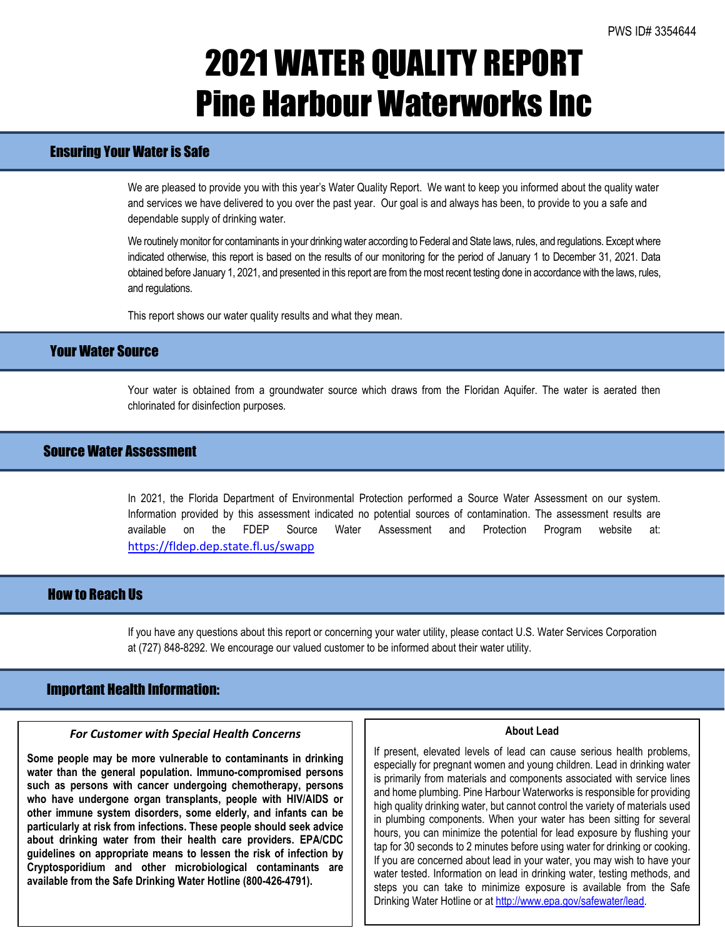# 2021 WATER QUALITY REPORT Pine Harbour Waterworks Inc

# Ensuring Your Water is Safe

We are pleased to provide you with this year's Water Quality Report. We want to keep you informed about the quality water and services we have delivered to you over the past year. Our goal is and always has been, to provide to you a safe and dependable supply of drinking water.

We routinely monitor for contaminants in your drinking water according to Federal and State laws, rules, and regulations. Except where indicated otherwise, this report is based on the results of our monitoring for the period of January 1 to December 31, 2021. Data obtained before January 1, 2021, and presented in this report are from the most recent testing done in accordance with the laws, rules, and regulations.

This report shows our water quality results and what they mean.

### Your Water Source

Your water is obtained from a groundwater source which draws from the Floridan Aquifer. The water is aerated then chlorinated for disinfection purposes.

# Source Water Assessment

In 2021, the Florida Department of Environmental Protection performed a Source Water Assessment on our system. Information provided by this assessment indicated no potential sources of contamination. The assessment results are available on the FDEP Source Water Assessment and Protection Program website at: <https://fldep.dep.state.fl.us/swapp>

### How to Reach Us

If you have any questions about this report or concerning your water utility, please contact U.S. Water Services Corporation at (727) 848-8292. We encourage our valued customer to be informed about their water utility.

#### Important Health Information:

l

#### *For Customer with Special Health Concerns*

**Some people may be more vulnerable to contaminants in drinking water than the general population. Immuno-compromised persons such as persons with cancer undergoing chemotherapy, persons who have undergone organ transplants, people with HIV/AIDS or other immune system disorders, some elderly, and infants can be particularly at risk from infections. These people should seek advice about drinking water from their health care providers. EPA/CDC guidelines on appropriate means to lessen the risk of infection by Cryptosporidium and other microbiological contaminants are available from the Safe Drinking Water Hotline (800-426-4791).**

#### **About Lead**

If present, elevated levels of lead can cause serious health problems, especially for pregnant women and young children. Lead in drinking water is primarily from materials and components associated with service lines and home plumbing. Pine Harbour Waterworks is responsible for providing high quality drinking water, but cannot control the variety of materials used in plumbing components. When your water has been sitting for several hours, you can minimize the potential for lead exposure by flushing your tap for 30 seconds to 2 minutes before using water for drinking or cooking. If you are concerned about lead in your water, you may wish to have your water tested. Information on lead in drinking water, testing methods, and steps you can take to minimize exposure is available from the Safe Drinking Water Hotline or at [http://www.epa.gov/safewater/lead.](http://www.epa.gov/safewater/lead)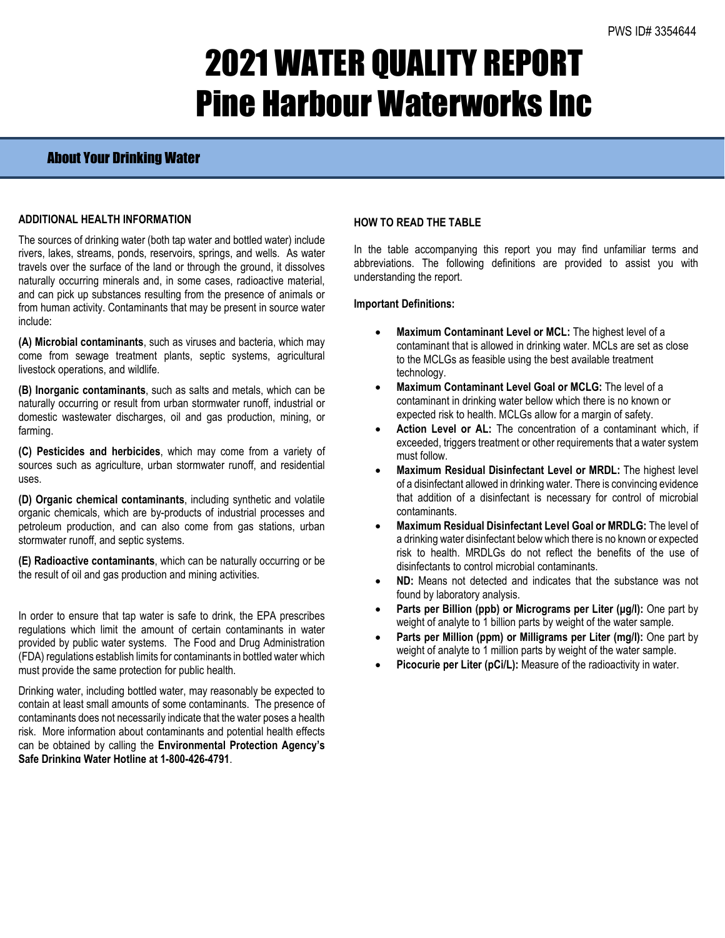# 2021 WATER QUALITY REPORT Pine Harbour Waterworks Inc

# About Your Drinking Water

#### **ADDITIONAL HEALTH INFORMATION**

The sources of drinking water (both tap water and bottled water) include rivers, lakes, streams, ponds, reservoirs, springs, and wells. As water travels over the surface of the land or through the ground, it dissolves naturally occurring minerals and, in some cases, radioactive material, and can pick up substances resulting from the presence of animals or from human activity. Contaminants that may be present in source water include:

**(A) Microbial contaminants**, such as viruses and bacteria, which may come from sewage treatment plants, septic systems, agricultural livestock operations, and wildlife.

**(B) Inorganic contaminants**, such as salts and metals, which can be naturally occurring or result from urban stormwater runoff, industrial or domestic wastewater discharges, oil and gas production, mining, or farming.

**(C) Pesticides and herbicides**, which may come from a variety of sources such as agriculture, urban stormwater runoff, and residential uses.

**(D) Organic chemical contaminants**, including synthetic and volatile organic chemicals, which are by-products of industrial processes and petroleum production, and can also come from gas stations, urban stormwater runoff, and septic systems.

**(E) Radioactive contaminants**, which can be naturally occurring or be the result of oil and gas production and mining activities.

In order to ensure that tap water is safe to drink, the EPA prescribes regulations which limit the amount of certain contaminants in water provided by public water systems. The Food and Drug Administration (FDA) regulations establish limits for contaminants in bottled water which must provide the same protection for public health.

Drinking water, including bottled water, may reasonably be expected to contain at least small amounts of some contaminants. The presence of contaminants does not necessarily indicate that the water poses a health risk. More information about contaminants and potential health effects can be obtained by calling the **Environmental Protection Agency's Safe Drinking Water Hotline at 1-800-426-4791**.

#### **HOW TO READ THE TABLE**

In the table accompanying this report you may find unfamiliar terms and abbreviations. The following definitions are provided to assist you with understanding the report.

#### **Important Definitions:**

- **Maximum Contaminant Level or MCL:** The highest level of a contaminant that is allowed in drinking water. MCLs are set as close to the MCLGs as feasible using the best available treatment technology.
- **Maximum Contaminant Level Goal or MCLG:** The level of a contaminant in drinking water bellow which there is no known or expected risk to health. MCLGs allow for a margin of safety.
- Action Level or AL: The concentration of a contaminant which, if exceeded, triggers treatment or other requirements that a water system must follow.
- **Maximum Residual Disinfectant Level or MRDL:** The highest level of a disinfectant allowed in drinking water. There is convincing evidence that addition of a disinfectant is necessary for control of microbial contaminants.
- **Maximum Residual Disinfectant Level Goal or MRDLG:** The level of a drinking water disinfectant below which there is no known or expected risk to health. MRDLGs do not reflect the benefits of the use of disinfectants to control microbial contaminants.
- **ND:** Means not detected and indicates that the substance was not found by laboratory analysis.
- **Parts per Billion (ppb) or Micrograms per Liter (μg/l):** One part by weight of analyte to 1 billion parts by weight of the water sample.
- **Parts per Million (ppm) or Milligrams per Liter (mg/l):** One part by weight of analyte to 1 million parts by weight of the water sample.
- Picocurie per Liter (pCi/L): Measure of the radioactivity in water.